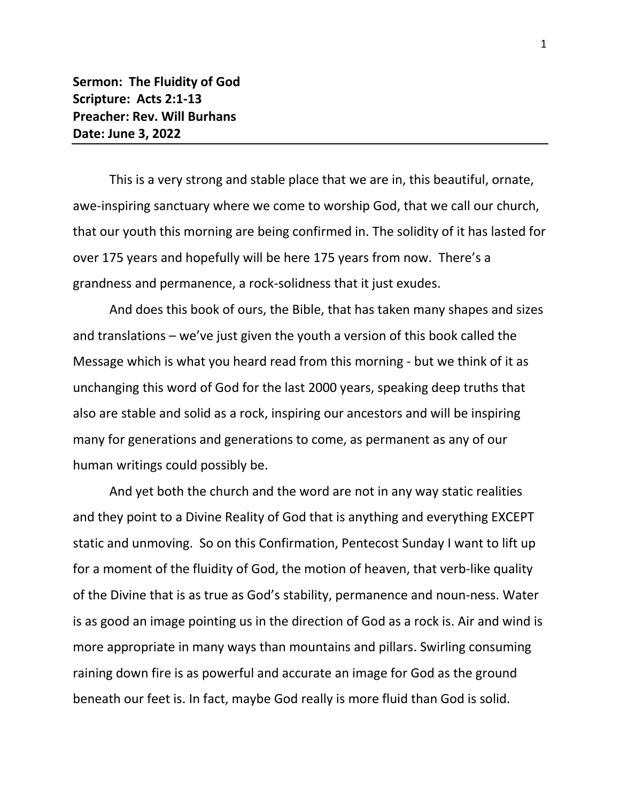This is a very strong and stable place that we are in, this beautiful, ornate, awe-inspiring sanctuary where we come to worship God, that we call our church, that our youth this morning are being confirmed in. The solidity of it has lasted for over 175 years and hopefully will be here 175 years from now. There's a grandness and permanence, a rock-solidness that it just exudes.

And does this book of ours, the Bible, that has taken many shapes and sizes and translations – we've just given the youth a version of this book called the Message which is what you heard read from this morning - but we think of it as unchanging this word of God for the last 2000 years, speaking deep truths that also are stable and solid as a rock, inspiring our ancestors and will be inspiring many for generations and generations to come, as permanent as any of our human writings could possibly be.

And yet both the church and the word are not in any way static realities and they point to a Divine Reality of God that is anything and everything EXCEPT static and unmoving. So on this Confirmation, Pentecost Sunday I want to lift up for a moment of the fluidity of God, the motion of heaven, that verb-like quality of the Divine that is as true as God's stability, permanence and noun-ness. Water is as good an image pointing us in the direction of God as a rock is. Air and wind is more appropriate in many ways than mountains and pillars. Swirling consuming raining down fire is as powerful and accurate an image for God as the ground beneath our feet is. In fact, maybe God really is more fluid than God is solid.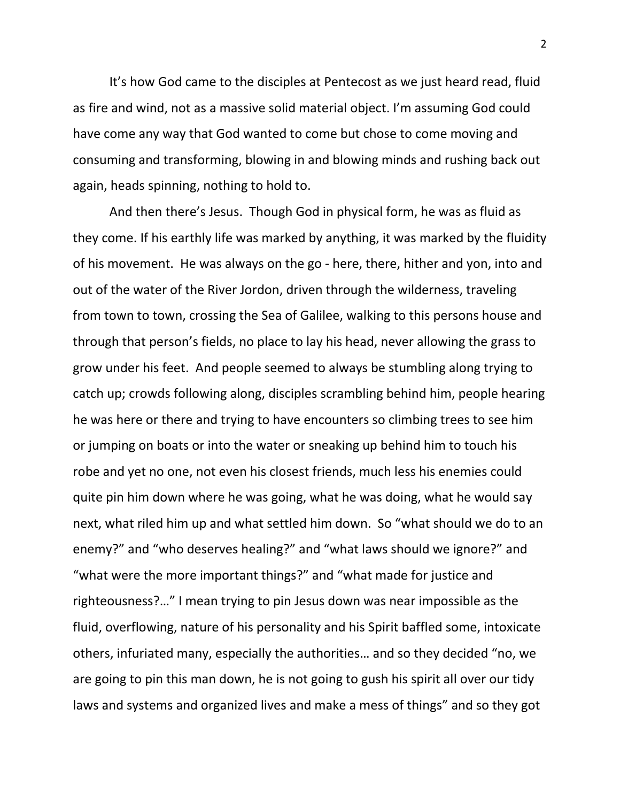It's how God came to the disciples at Pentecost as we just heard read, fluid as fire and wind, not as a massive solid material object. I'm assuming God could have come any way that God wanted to come but chose to come moving and consuming and transforming, blowing in and blowing minds and rushing back out again, heads spinning, nothing to hold to.

And then there's Jesus. Though God in physical form, he was as fluid as they come. If his earthly life was marked by anything, it was marked by the fluidity of his movement. He was always on the go - here, there, hither and yon, into and out of the water of the River Jordon, driven through the wilderness, traveling from town to town, crossing the Sea of Galilee, walking to this persons house and through that person's fields, no place to lay his head, never allowing the grass to grow under his feet. And people seemed to always be stumbling along trying to catch up; crowds following along, disciples scrambling behind him, people hearing he was here or there and trying to have encounters so climbing trees to see him or jumping on boats or into the water or sneaking up behind him to touch his robe and yet no one, not even his closest friends, much less his enemies could quite pin him down where he was going, what he was doing, what he would say next, what riled him up and what settled him down. So "what should we do to an enemy?" and "who deserves healing?" and "what laws should we ignore?" and "what were the more important things?" and "what made for justice and righteousness?…" I mean trying to pin Jesus down was near impossible as the fluid, overflowing, nature of his personality and his Spirit baffled some, intoxicate others, infuriated many, especially the authorities… and so they decided "no, we are going to pin this man down, he is not going to gush his spirit all over our tidy laws and systems and organized lives and make a mess of things" and so they got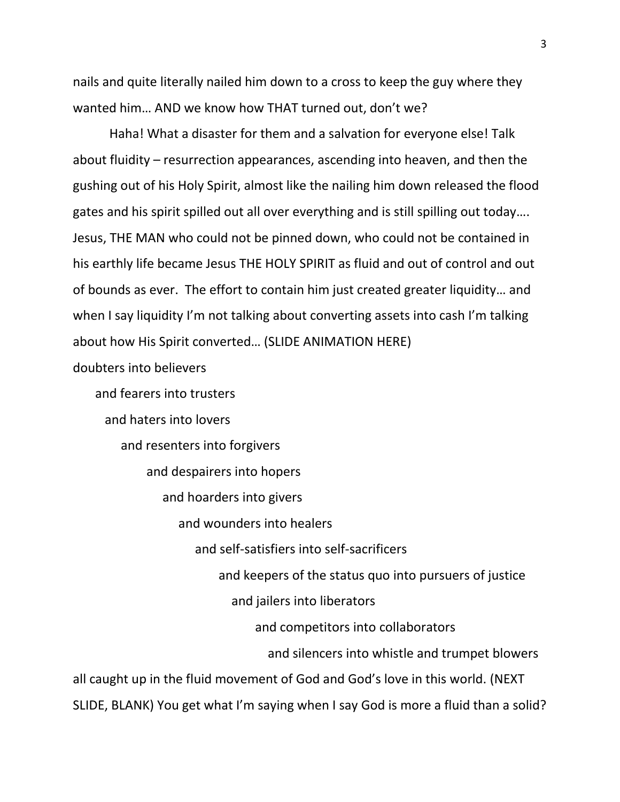nails and quite literally nailed him down to a cross to keep the guy where they wanted him… AND we know how THAT turned out, don't we?

Haha! What a disaster for them and a salvation for everyone else! Talk about fluidity – resurrection appearances, ascending into heaven, and then the gushing out of his Holy Spirit, almost like the nailing him down released the flood gates and his spirit spilled out all over everything and is still spilling out today…. Jesus, THE MAN who could not be pinned down, who could not be contained in his earthly life became Jesus THE HOLY SPIRIT as fluid and out of control and out of bounds as ever. The effort to contain him just created greater liquidity… and when I say liquidity I'm not talking about converting assets into cash I'm talking about how His Spirit converted… (SLIDE ANIMATION HERE)

doubters into believers

and fearers into trusters

and haters into lovers

and resenters into forgivers

and despairers into hopers

and hoarders into givers

and wounders into healers

and self-satisfiers into self-sacrificers

and keepers of the status quo into pursuers of justice

and jailers into liberators

and competitors into collaborators

and silencers into whistle and trumpet blowers

all caught up in the fluid movement of God and God's love in this world. (NEXT

SLIDE, BLANK) You get what I'm saying when I say God is more a fluid than a solid?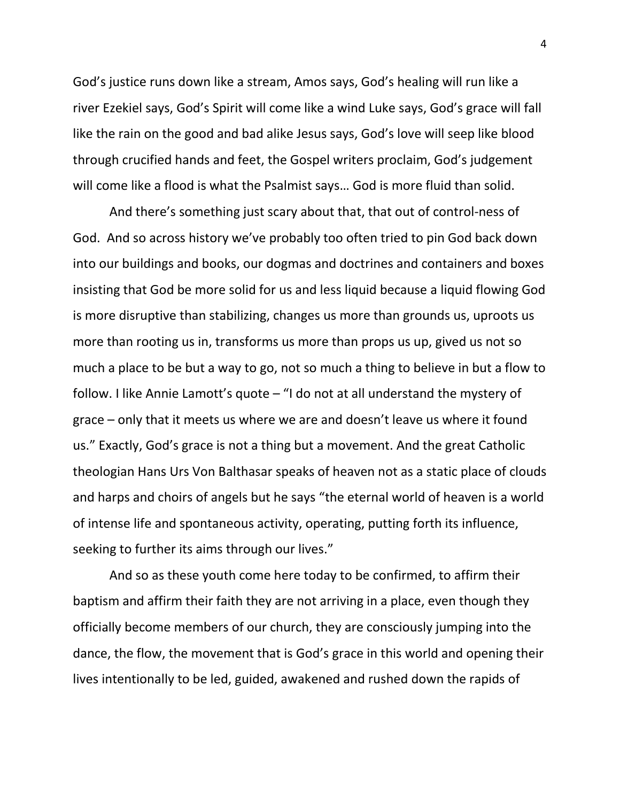God's justice runs down like a stream, Amos says, God's healing will run like a river Ezekiel says, God's Spirit will come like a wind Luke says, God's grace will fall like the rain on the good and bad alike Jesus says, God's love will seep like blood through crucified hands and feet, the Gospel writers proclaim, God's judgement will come like a flood is what the Psalmist says… God is more fluid than solid.

And there's something just scary about that, that out of control-ness of God. And so across history we've probably too often tried to pin God back down into our buildings and books, our dogmas and doctrines and containers and boxes insisting that God be more solid for us and less liquid because a liquid flowing God is more disruptive than stabilizing, changes us more than grounds us, uproots us more than rooting us in, transforms us more than props us up, gived us not so much a place to be but a way to go, not so much a thing to believe in but a flow to follow. I like Annie Lamott's quote – "I do not at all understand the mystery of grace – only that it meets us where we are and doesn't leave us where it found us." Exactly, God's grace is not a thing but a movement. And the great Catholic theologian Hans Urs Von Balthasar speaks of heaven not as a static place of clouds and harps and choirs of angels but he says "the eternal world of heaven is a world of intense life and spontaneous activity, operating, putting forth its influence, seeking to further its aims through our lives."

And so as these youth come here today to be confirmed, to affirm their baptism and affirm their faith they are not arriving in a place, even though they officially become members of our church, they are consciously jumping into the dance, the flow, the movement that is God's grace in this world and opening their lives intentionally to be led, guided, awakened and rushed down the rapids of

4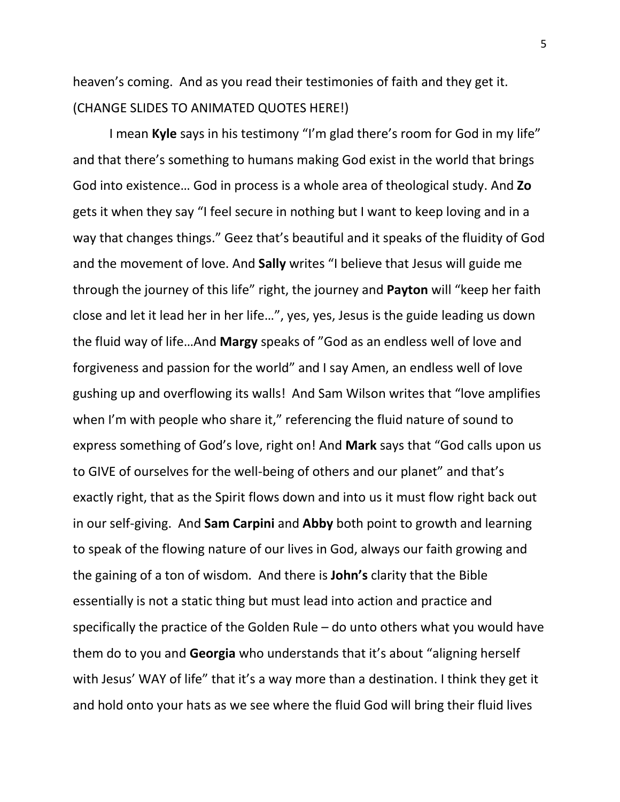heaven's coming. And as you read their testimonies of faith and they get it. (CHANGE SLIDES TO ANIMATED QUOTES HERE!)

I mean **Kyle** says in his testimony "I'm glad there's room for God in my life" and that there's something to humans making God exist in the world that brings God into existence… God in process is a whole area of theological study. And **Zo** gets it when they say "I feel secure in nothing but I want to keep loving and in a way that changes things." Geez that's beautiful and it speaks of the fluidity of God and the movement of love. And **Sally** writes "I believe that Jesus will guide me through the journey of this life" right, the journey and **Payton** will "keep her faith close and let it lead her in her life…", yes, yes, Jesus is the guide leading us down the fluid way of life…And **Margy** speaks of "God as an endless well of love and forgiveness and passion for the world" and I say Amen, an endless well of love gushing up and overflowing its walls! And Sam Wilson writes that "love amplifies when I'm with people who share it," referencing the fluid nature of sound to express something of God's love, right on! And **Mark** says that "God calls upon us to GIVE of ourselves for the well-being of others and our planet" and that's exactly right, that as the Spirit flows down and into us it must flow right back out in our self-giving. And **Sam Carpini** and **Abby** both point to growth and learning to speak of the flowing nature of our lives in God, always our faith growing and the gaining of a ton of wisdom. And there is **John's** clarity that the Bible essentially is not a static thing but must lead into action and practice and specifically the practice of the Golden Rule – do unto others what you would have them do to you and **Georgia** who understands that it's about "aligning herself with Jesus' WAY of life" that it's a way more than a destination. I think they get it and hold onto your hats as we see where the fluid God will bring their fluid lives